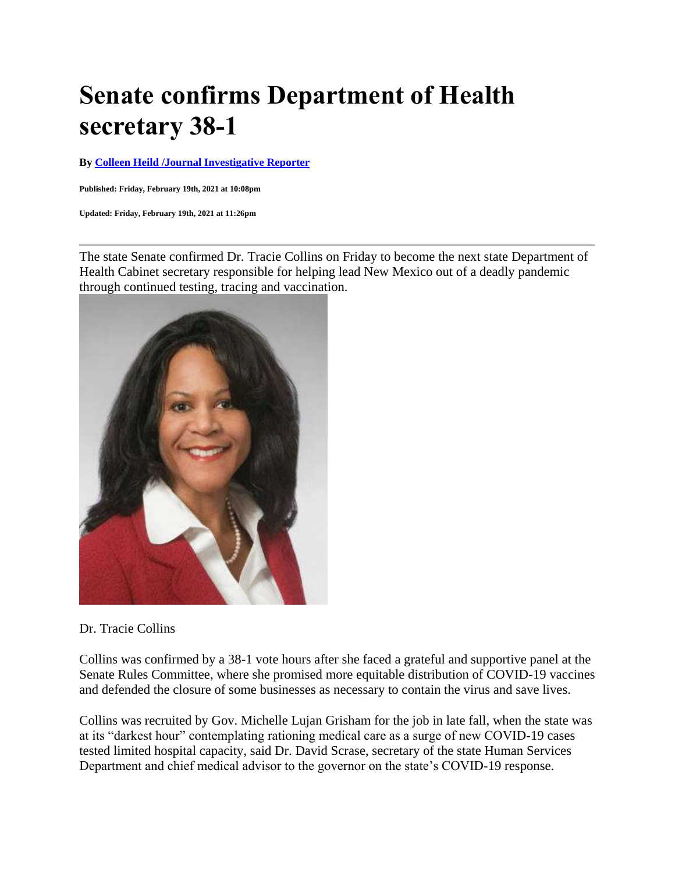## **Senate confirms Department of Health secretary 38-1**

**By [Colleen Heild /Journal Investigative Reporter](https://www.abqjournal.com/author/jcrumb)**

**Published: Friday, February 19th, 2021 at 10:08pm**

**Updated: Friday, February 19th, 2021 at 11:26pm**

The state Senate confirmed Dr. Tracie Collins on Friday to become the next state Department of Health Cabinet secretary responsible for helping lead New Mexico out of a deadly pandemic through continued testing, tracing and vaccination.



Dr. Tracie Collins

Collins was confirmed by a 38-1 vote hours after she faced a grateful and supportive panel at the Senate Rules Committee, where she promised more equitable distribution of COVID-19 vaccines and defended the closure of some businesses as necessary to contain the virus and save lives.

Collins was recruited by Gov. Michelle Lujan Grisham for the job in late fall, when the state was at its "darkest hour" contemplating rationing medical care as a surge of new COVID-19 cases tested limited hospital capacity, said Dr. David Scrase, secretary of the state Human Services Department and chief medical advisor to the governor on the state's COVID-19 response.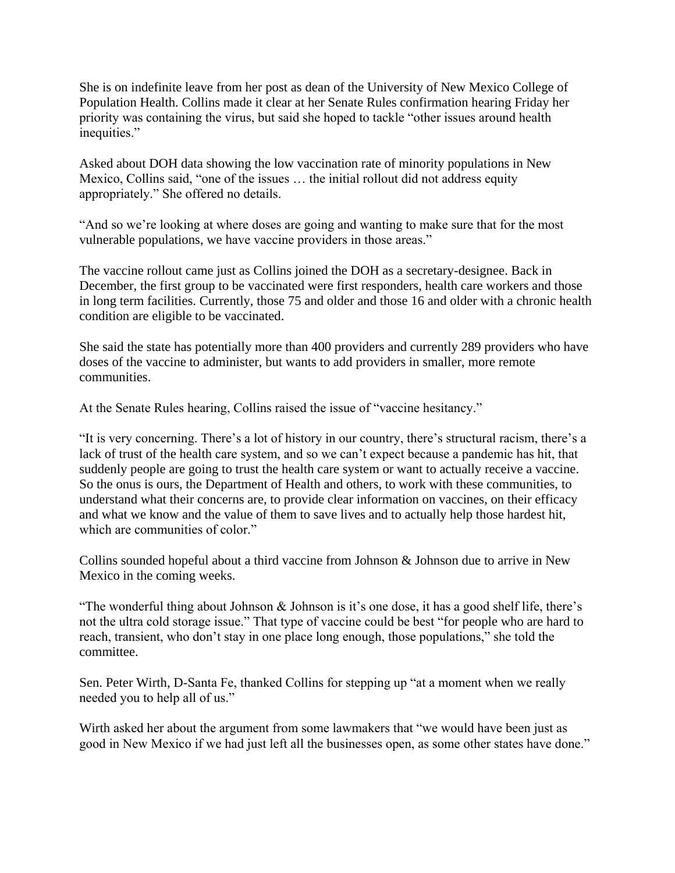She is on indefinite leave from her post as dean of the University of New Mexico College of Population Health. Collins made it clear at her Senate Rules confirmation hearing Friday her priority was containing the virus, but said she hoped to tackle "other issues around health inequities."

Asked about DOH data showing the low vaccination rate of minority populations in New Mexico, Collins said, "one of the issues … the initial rollout did not address equity appropriately." She offered no details.

"And so we're looking at where doses are going and wanting to make sure that for the most vulnerable populations, we have vaccine providers in those areas."

The vaccine rollout came just as Collins joined the DOH as a secretary-designee. Back in December, the first group to be vaccinated were first responders, health care workers and those in long term facilities. Currently, those 75 and older and those 16 and older with a chronic health condition are eligible to be vaccinated.

She said the state has potentially more than 400 providers and currently 289 providers who have doses of the vaccine to administer, but wants to add providers in smaller, more remote communities.

At the Senate Rules hearing, Collins raised the issue of "vaccine hesitancy."

"It is very concerning. There's a lot of history in our country, there's structural racism, there's a lack of trust of the health care system, and so we can't expect because a pandemic has hit, that suddenly people are going to trust the health care system or want to actually receive a vaccine. So the onus is ours, the Department of Health and others, to work with these communities, to understand what their concerns are, to provide clear information on vaccines, on their efficacy and what we know and the value of them to save lives and to actually help those hardest hit, which are communities of color."

Collins sounded hopeful about a third vaccine from Johnson & Johnson due to arrive in New Mexico in the coming weeks.

"The wonderful thing about Johnson & Johnson is it's one dose, it has a good shelf life, there's not the ultra cold storage issue." That type of vaccine could be best "for people who are hard to reach, transient, who don't stay in one place long enough, those populations," she told the committee.

Sen. Peter Wirth, D-Santa Fe, thanked Collins for stepping up "at a moment when we really needed you to help all of us."

Wirth asked her about the argument from some lawmakers that "we would have been just as good in New Mexico if we had just left all the businesses open, as some other states have done."